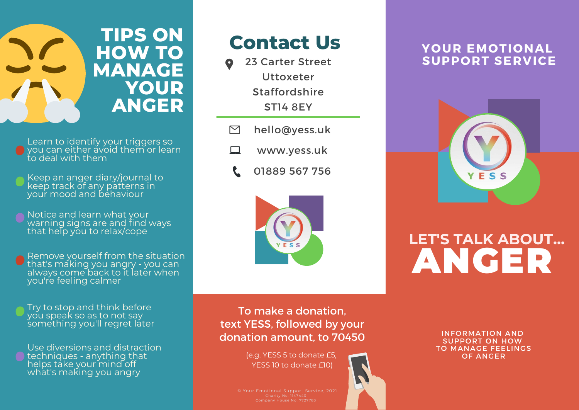

Learn to identify your triggers so o you can either avoid them or learn to deal with them

Keep an anger diary/journal to keep track of any patterns in your mood and behaviour

Notice and learn what your warning signs are and find ways that help you to relax/cope

Remove yourself from the situation that's making you angry - you can always come back to it later when you're feeling calmer

Try to stop and think before you speak so as to not say something you'll regret later

Use diversions and distraction techniques - anything that helps take your mind off what's making you angry

### **Contact Us**

- 23 Carter Street **Uttoxeter** Staffordshire ST14 8EY
- $\triangleright$ hello@yess.uk
- $\Box$ www.yess.uk
	- 01889 567 756



### **YOUR EMOTIONAL SUPPORT SERVICE**



## **LET'S TALK ABOUT...** ANGER

To make a donation, text YESS, followed by your donation amount, to 70450

> (e.g. YESS 5 to donate £5, YESS 10 to donate £10)

INFORMATION AND SUPPORT ON HOW TO MANAGE FEELINGS OF ANGER

© Your Emotional Support Service, 2021